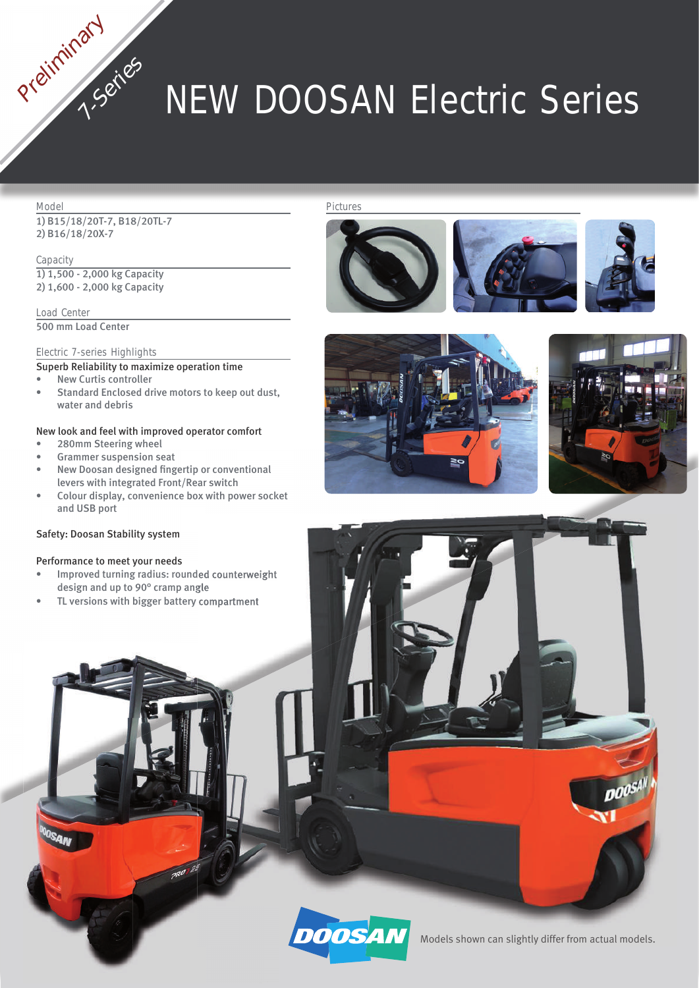# **NEW DOOSAN Electric Series**

### **Model**

Preliminary

1) B15/18/20T-7, B18/20TL-7 2) B16/18/20X-7

**7-Series**

**Capacity** 1) 1,500 - 2,000 kg Capacity 2) 1,600 - 2,000 kg Capacity

**Load Center** 500 mm Load Center

# **Electric 7-series Highlights**

Superb Reliability to maximize operation time

- **New Curtis controller**
- Standard Enclosed drive motors to keep out dust, water and debris

# New look and feel with improved operator comfort

- 280mm Steering wheel
- Grammer suspension seat
- New Doosan designed fingertip or conventional levers with integrated Front/Rear switch
- Colour display, convenience box with power socket and USB port

# Safety: Doosan Stability system

## Performance to meet your needs

- Improved turning radius: rounded counterweight design and up to 90° cramp angle
- TL versions with bigger battery compartment

#### **Pictures**